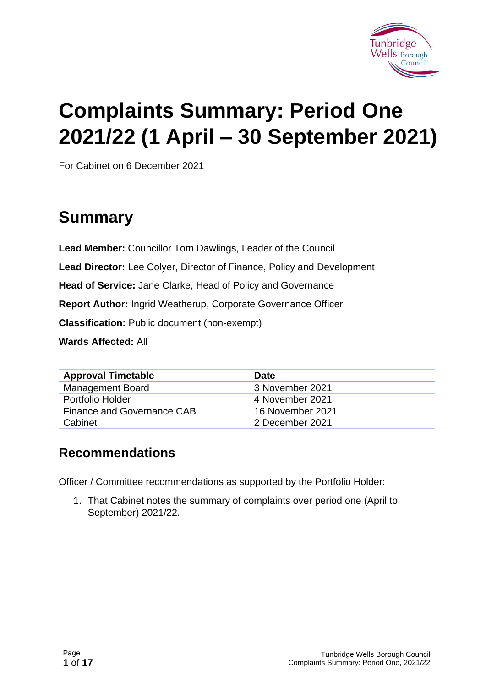

# **Complaints Summary: Period One 2021/22 (1 April – 30 September 2021)**

For Cabinet on 6 December 2021

# **Summary**

**Lead Member:** Councillor Tom Dawlings, Leader of the Council **Lead Director:** Lee Colyer, Director of Finance, Policy and Development **Head of Service:** Jane Clarke, Head of Policy and Governance **Report Author:** Ingrid Weatherup, Corporate Governance Officer **Classification:** Public document (non-exempt) **Wards Affected:** All

| <b>Approval Timetable</b>  | <b>Date</b>      |
|----------------------------|------------------|
| <b>Management Board</b>    | 3 November 2021  |
| <b>Portfolio Holder</b>    | 4 November 2021  |
| Finance and Governance CAB | 16 November 2021 |
| Cabinet                    | 2 December 2021  |

#### **Recommendations**

Officer / Committee recommendations as supported by the Portfolio Holder:

1. That Cabinet notes the summary of complaints over period one (April to September) 2021/22.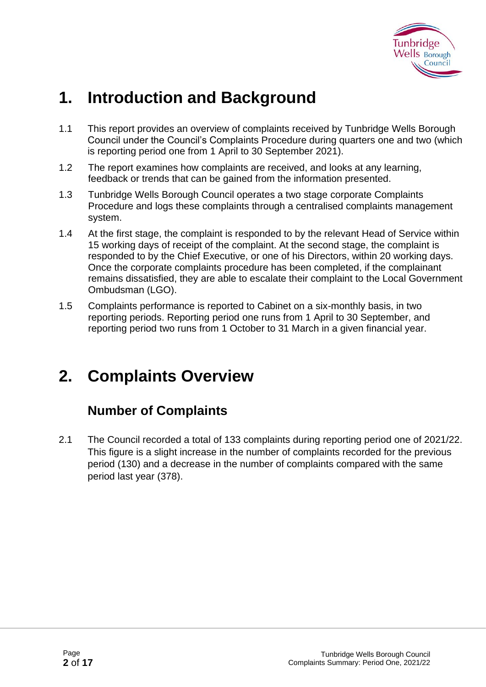

# **1. Introduction and Background**

- 1.1 This report provides an overview of complaints received by Tunbridge Wells Borough Council under the Council's Complaints Procedure during quarters one and two (which is reporting period one from 1 April to 30 September 2021).
- 1.2 The report examines how complaints are received, and looks at any learning, feedback or trends that can be gained from the information presented.
- 1.3 Tunbridge Wells Borough Council operates a two stage corporate Complaints Procedure and logs these complaints through a centralised complaints management system.
- 1.4 At the first stage, the complaint is responded to by the relevant Head of Service within 15 working days of receipt of the complaint. At the second stage, the complaint is responded to by the Chief Executive, or one of his Directors, within 20 working days. Once the corporate complaints procedure has been completed, if the complainant remains dissatisfied, they are able to escalate their complaint to the Local Government Ombudsman (LGO).
- 1.5 Complaints performance is reported to Cabinet on a six-monthly basis, in two reporting periods. Reporting period one runs from 1 April to 30 September, and reporting period two runs from 1 October to 31 March in a given financial year.

# **2. Complaints Overview**

### **Number of Complaints**

2.1 The Council recorded a total of 133 complaints during reporting period one of 2021/22. This figure is a slight increase in the number of complaints recorded for the previous period (130) and a decrease in the number of complaints compared with the same period last year (378).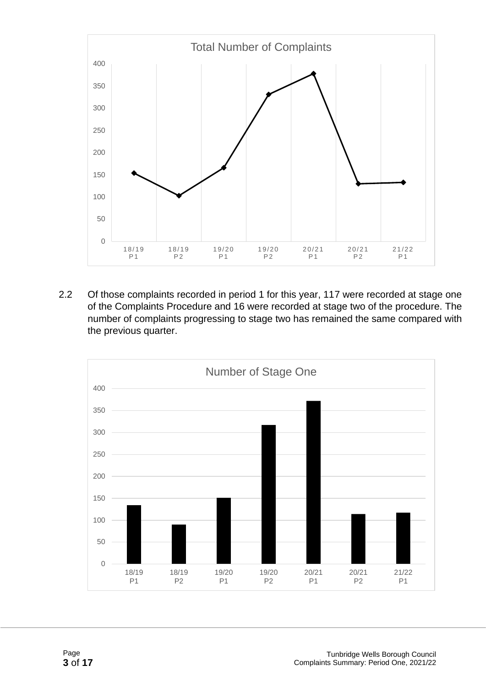

2.2 Of those complaints recorded in period 1 for this year, 117 were recorded at stage one of the Complaints Procedure and 16 were recorded at stage two of the procedure. The number of complaints progressing to stage two has remained the same compared with the previous quarter.

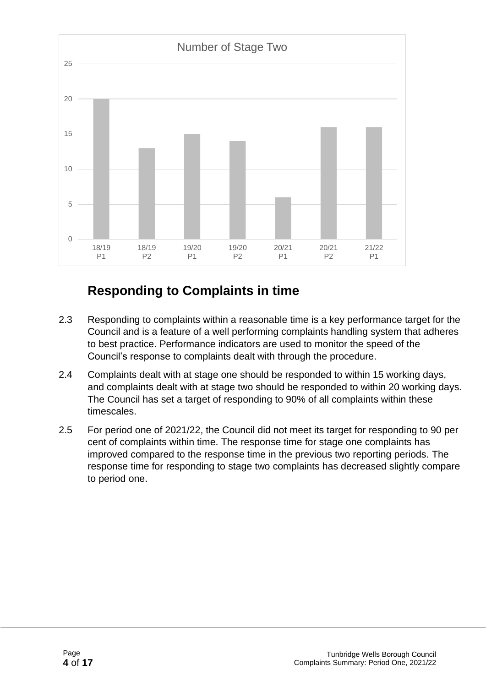

### **Responding to Complaints in time**

- 2.3 Responding to complaints within a reasonable time is a key performance target for the Council and is a feature of a well performing complaints handling system that adheres to best practice. Performance indicators are used to monitor the speed of the Council's response to complaints dealt with through the procedure.
- 2.4 Complaints dealt with at stage one should be responded to within 15 working days, and complaints dealt with at stage two should be responded to within 20 working days. The Council has set a target of responding to 90% of all complaints within these timescales.
- 2.5 For period one of 2021/22, the Council did not meet its target for responding to 90 per cent of complaints within time. The response time for stage one complaints has improved compared to the response time in the previous two reporting periods. The response time for responding to stage two complaints has decreased slightly compare to period one.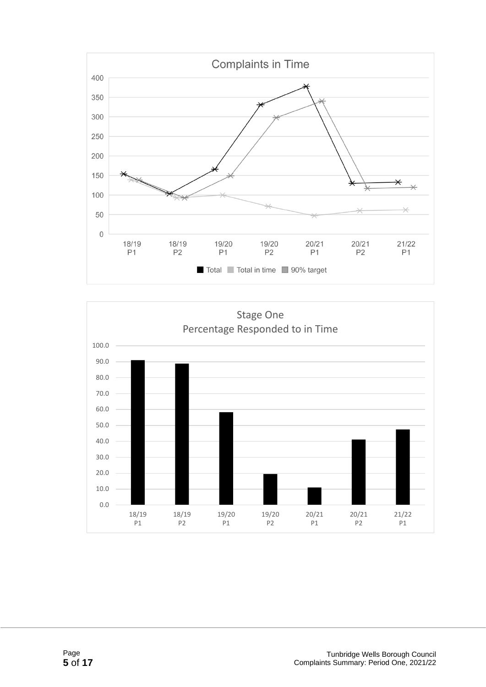

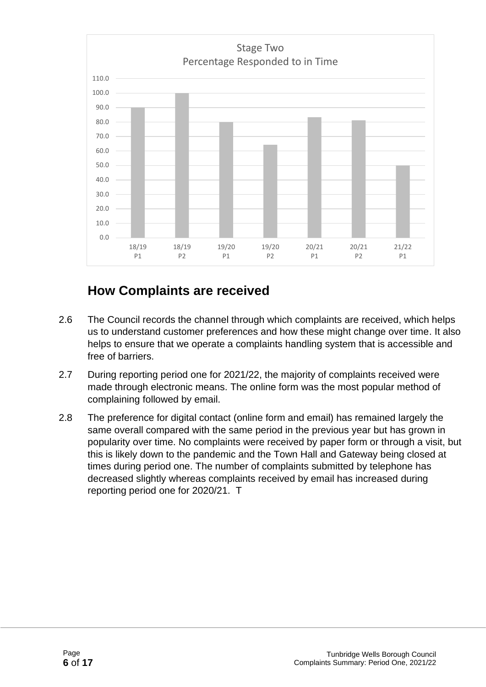

#### **How Complaints are received**

- 2.6 The Council records the channel through which complaints are received, which helps us to understand customer preferences and how these might change over time. It also helps to ensure that we operate a complaints handling system that is accessible and free of barriers.
- 2.7 During reporting period one for 2021/22, the majority of complaints received were made through electronic means. The online form was the most popular method of complaining followed by email.
- 2.8 The preference for digital contact (online form and email) has remained largely the same overall compared with the same period in the previous year but has grown in popularity over time. No complaints were received by paper form or through a visit, but this is likely down to the pandemic and the Town Hall and Gateway being closed at times during period one. The number of complaints submitted by telephone has decreased slightly whereas complaints received by email has increased during reporting period one for 2020/21. T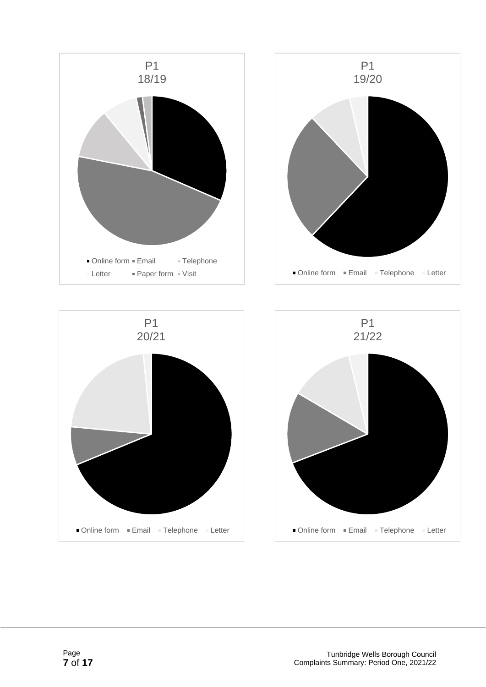





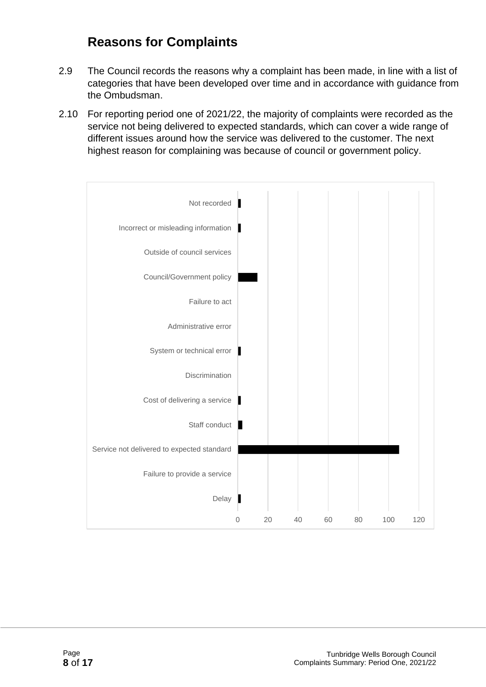### **Reasons for Complaints**

- 2.9 The Council records the reasons why a complaint has been made, in line with a list of categories that have been developed over time and in accordance with guidance from the Ombudsman.
- 2.10 For reporting period one of 2021/22, the majority of complaints were recorded as the service not being delivered to expected standards, which can cover a wide range of different issues around how the service was delivered to the customer. The next highest reason for complaining was because of council or government policy.

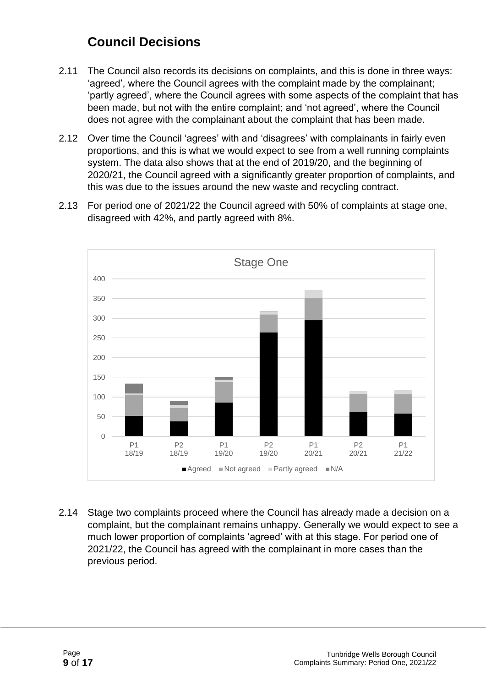### **Council Decisions**

- 2.11 The Council also records its decisions on complaints, and this is done in three ways: 'agreed', where the Council agrees with the complaint made by the complainant; 'partly agreed', where the Council agrees with some aspects of the complaint that has been made, but not with the entire complaint; and 'not agreed', where the Council does not agree with the complainant about the complaint that has been made.
- 2.12 Over time the Council 'agrees' with and 'disagrees' with complainants in fairly even proportions, and this is what we would expect to see from a well running complaints system. The data also shows that at the end of 2019/20, and the beginning of 2020/21, the Council agreed with a significantly greater proportion of complaints, and this was due to the issues around the new waste and recycling contract.
- 2.13 For period one of 2021/22 the Council agreed with 50% of complaints at stage one, disagreed with 42%, and partly agreed with 8%.



2.14 Stage two complaints proceed where the Council has already made a decision on a complaint, but the complainant remains unhappy. Generally we would expect to see a much lower proportion of complaints 'agreed' with at this stage. For period one of 2021/22, the Council has agreed with the complainant in more cases than the previous period.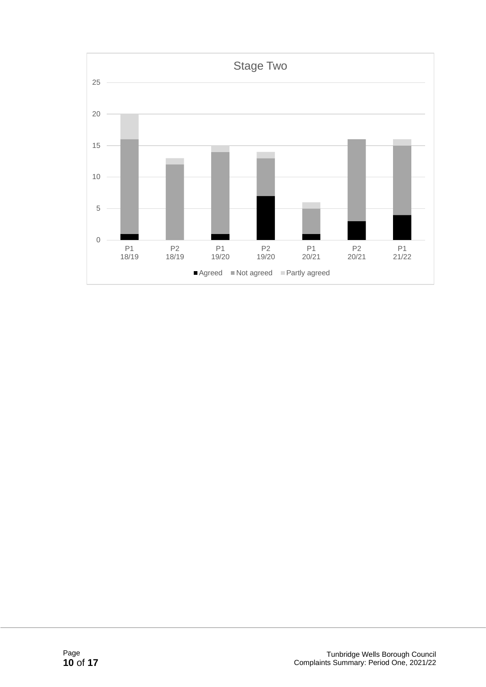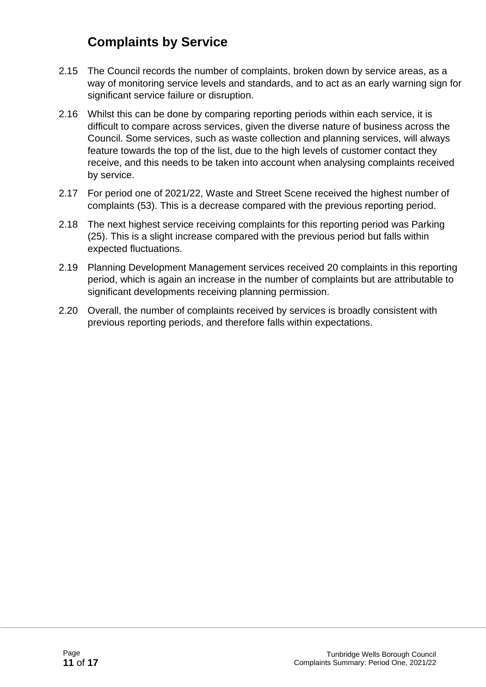### **Complaints by Service**

- 2.15 The Council records the number of complaints, broken down by service areas, as a way of monitoring service levels and standards, and to act as an early warning sign for significant service failure or disruption.
- 2.16 Whilst this can be done by comparing reporting periods within each service, it is difficult to compare across services, given the diverse nature of business across the Council. Some services, such as waste collection and planning services, will always feature towards the top of the list, due to the high levels of customer contact they receive, and this needs to be taken into account when analysing complaints received by service.
- 2.17 For period one of 2021/22, Waste and Street Scene received the highest number of complaints (53). This is a decrease compared with the previous reporting period.
- 2.18 The next highest service receiving complaints for this reporting period was Parking (25). This is a slight increase compared with the previous period but falls within expected fluctuations.
- 2.19 Planning Development Management services received 20 complaints in this reporting period, which is again an increase in the number of complaints but are attributable to significant developments receiving planning permission.
- 2.20 Overall, the number of complaints received by services is broadly consistent with previous reporting periods, and therefore falls within expectations.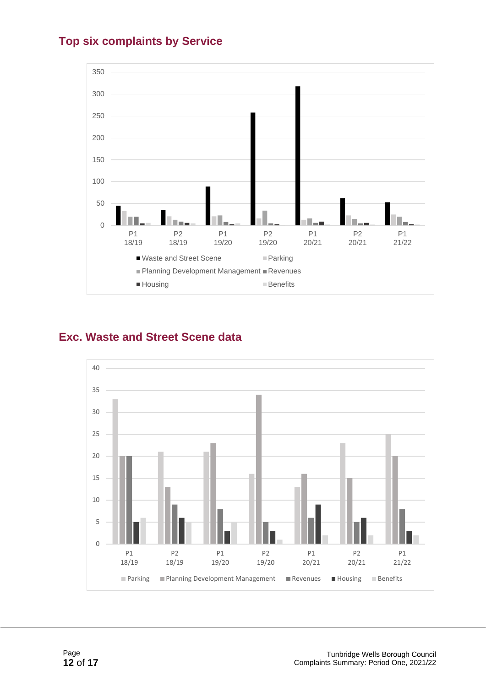



#### **Exc. Waste and Street Scene data**

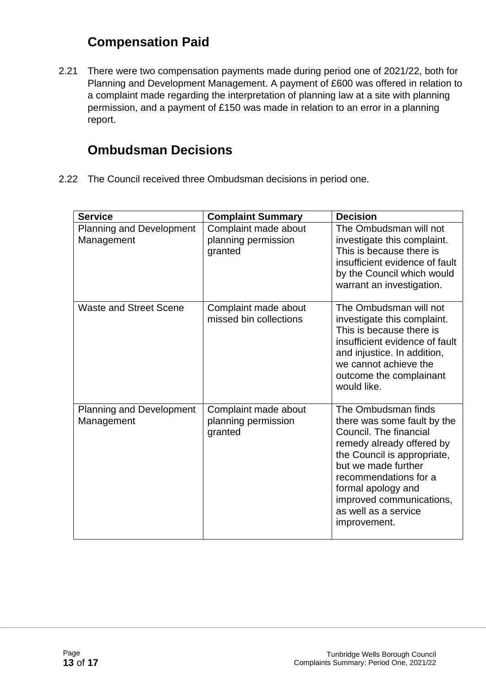### **Compensation Paid**

2.21 There were two compensation payments made during period one of 2021/22, both for Planning and Development Management. A payment of £600 was offered in relation to a complaint made regarding the interpretation of planning law at a site with planning permission, and a payment of £150 was made in relation to an error in a planning report.

#### **Ombudsman Decisions**

2.22 The Council received three Ombudsman decisions in period one.

| <b>Service</b>                                | <b>Complaint Summary</b>                               | <b>Decision</b>                                                                                                                                                                                                                                                                    |
|-----------------------------------------------|--------------------------------------------------------|------------------------------------------------------------------------------------------------------------------------------------------------------------------------------------------------------------------------------------------------------------------------------------|
| <b>Planning and Development</b><br>Management | Complaint made about<br>planning permission<br>granted | The Ombudsman will not<br>investigate this complaint.<br>This is because there is<br>insufficient evidence of fault<br>by the Council which would<br>warrant an investigation.                                                                                                     |
| <b>Waste and Street Scene</b>                 | Complaint made about<br>missed bin collections         | The Ombudsman will not<br>investigate this complaint.<br>This is because there is<br>insufficient evidence of fault<br>and injustice. In addition,<br>we cannot achieve the<br>outcome the complainant<br>would like.                                                              |
| <b>Planning and Development</b><br>Management | Complaint made about<br>planning permission<br>granted | The Ombudsman finds<br>there was some fault by the<br>Council. The financial<br>remedy already offered by<br>the Council is appropriate,<br>but we made further<br>recommendations for a<br>formal apology and<br>improved communications,<br>as well as a service<br>improvement. |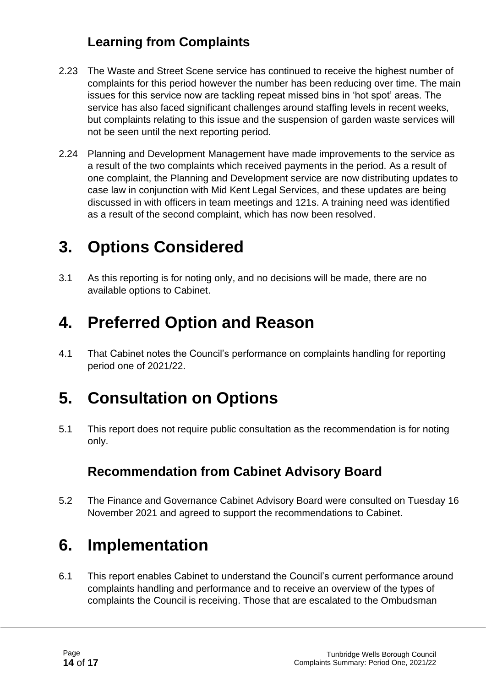### **Learning from Complaints**

- 2.23 The Waste and Street Scene service has continued to receive the highest number of complaints for this period however the number has been reducing over time. The main issues for this service now are tackling repeat missed bins in 'hot spot' areas. The service has also faced significant challenges around staffing levels in recent weeks, but complaints relating to this issue and the suspension of garden waste services will not be seen until the next reporting period.
- 2.24 Planning and Development Management have made improvements to the service as a result of the two complaints which received payments in the period. As a result of one complaint, the Planning and Development service are now distributing updates to case law in conjunction with Mid Kent Legal Services, and these updates are being discussed in with officers in team meetings and 121s. A training need was identified as a result of the second complaint, which has now been resolved.

### **3. Options Considered**

3.1 As this reporting is for noting only, and no decisions will be made, there are no available options to Cabinet.

### **4. Preferred Option and Reason**

4.1 That Cabinet notes the Council's performance on complaints handling for reporting period one of 2021/22.

# **5. Consultation on Options**

5.1 This report does not require public consultation as the recommendation is for noting only.

### **Recommendation from Cabinet Advisory Board**

5.2 The Finance and Governance Cabinet Advisory Board were consulted on Tuesday 16 November 2021 and agreed to support the recommendations to Cabinet.

# **6. Implementation**

6.1 This report enables Cabinet to understand the Council's current performance around complaints handling and performance and to receive an overview of the types of complaints the Council is receiving. Those that are escalated to the Ombudsman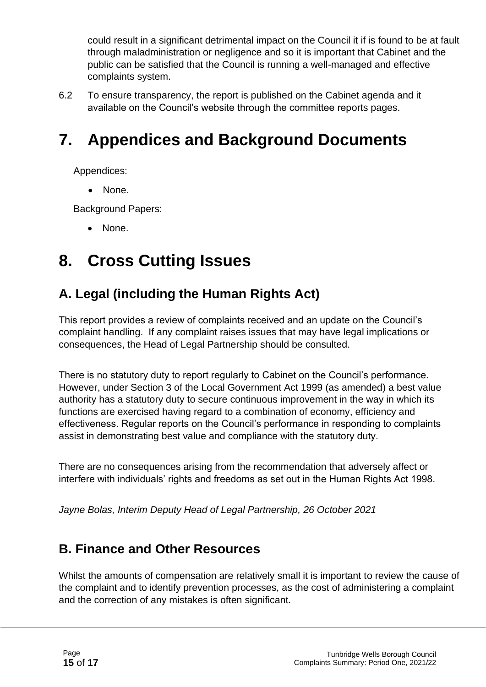could result in a significant detrimental impact on the Council it if is found to be at fault through maladministration or negligence and so it is important that Cabinet and the public can be satisfied that the Council is running a well-managed and effective complaints system.

6.2 To ensure transparency, the report is published on the Cabinet agenda and it available on the Council's website through the committee reports pages.

# **7. Appendices and Background Documents**

Appendices:

None.

Background Papers:

• None.

### **8. Cross Cutting Issues**

### **A. Legal (including the Human Rights Act)**

This report provides a review of complaints received and an update on the Council's complaint handling. If any complaint raises issues that may have legal implications or consequences, the Head of Legal Partnership should be consulted.

There is no statutory duty to report regularly to Cabinet on the Council's performance. However, under Section 3 of the Local Government Act 1999 (as amended) a best value authority has a statutory duty to secure continuous improvement in the way in which its functions are exercised having regard to a combination of economy, efficiency and effectiveness. Regular reports on the Council's performance in responding to complaints assist in demonstrating best value and compliance with the statutory duty.

There are no consequences arising from the recommendation that adversely affect or interfere with individuals' rights and freedoms as set out in the Human Rights Act 1998.

*Jayne Bolas, Interim Deputy Head of Legal Partnership, 26 October 2021*

#### **B. Finance and Other Resources**

Whilst the amounts of compensation are relatively small it is important to review the cause of the complaint and to identify prevention processes, as the cost of administering a complaint and the correction of any mistakes is often significant.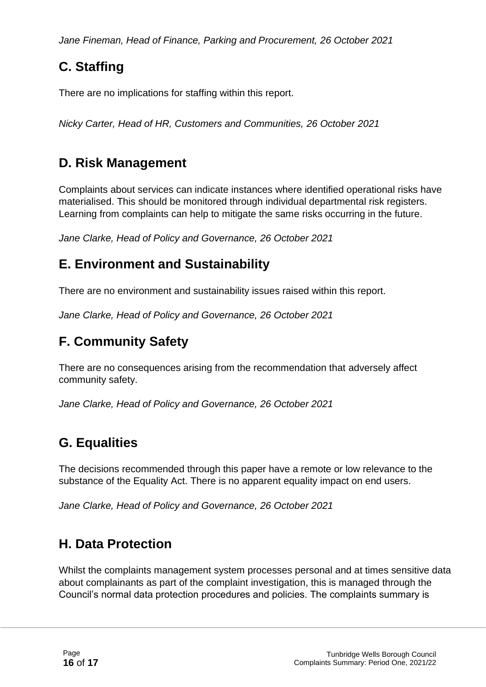*Jane Fineman, Head of Finance, Parking and Procurement, 26 October 2021*

### **C. Staffing**

There are no implications for staffing within this report.

*Nicky Carter, Head of HR, Customers and Communities, 26 October 2021*

### **D. Risk Management**

Complaints about services can indicate instances where identified operational risks have materialised. This should be monitored through individual departmental risk registers. Learning from complaints can help to mitigate the same risks occurring in the future.

*Jane Clarke, Head of Policy and Governance, 26 October 2021*

### **E. Environment and Sustainability**

There are no environment and sustainability issues raised within this report.

*Jane Clarke, Head of Policy and Governance, 26 October 2021*

### **F. Community Safety**

There are no consequences arising from the recommendation that adversely affect community safety.

*Jane Clarke, Head of Policy and Governance, 26 October 2021*

### **G. Equalities**

The decisions recommended through this paper have a remote or low relevance to the substance of the Equality Act. There is no apparent equality impact on end users.

*Jane Clarke, Head of Policy and Governance, 26 October 2021*

### **H. Data Protection**

Whilst the complaints management system processes personal and at times sensitive data about complainants as part of the complaint investigation, this is managed through the Council's normal data protection procedures and policies. The complaints summary is